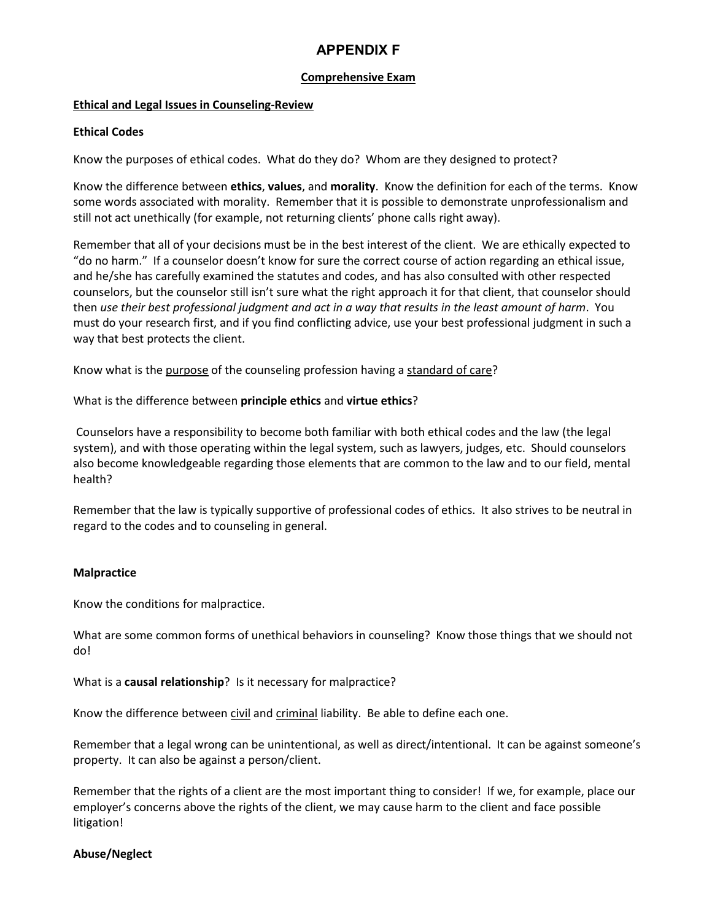# **APPENDIX F**

# **Comprehensive Exam**

# **Ethical and Legal Issues in Counseling-Review**

# **Ethical Codes**

Know the purposes of ethical codes. What do they do? Whom are they designed to protect?

Know the difference between **ethics**, **values**, and **morality**. Know the definition for each of the terms. Know some words associated with morality. Remember that it is possible to demonstrate unprofessionalism and still not act unethically (for example, not returning clients' phone calls right away).

Remember that all of your decisions must be in the best interest of the client. We are ethically expected to "do no harm." If a counselor doesn't know for sure the correct course of action regarding an ethical issue, and he/she has carefully examined the statutes and codes, and has also consulted with other respected counselors, but the counselor still isn't sure what the right approach it for that client, that counselor should then *use their best professional judgment and act in a way that results in the least amount of harm*. You must do your research first, and if you find conflicting advice, use your best professional judgment in such a way that best protects the client.

Know what is the purpose of the counseling profession having a standard of care?

What is the difference between **principle ethics** and **virtue ethics**?

Counselors have a responsibility to become both familiar with both ethical codes and the law (the legal system), and with those operating within the legal system, such as lawyers, judges, etc. Should counselors also become knowledgeable regarding those elements that are common to the law and to our field, mental health?

Remember that the law is typically supportive of professional codes of ethics. It also strives to be neutral in regard to the codes and to counseling in general.

### **Malpractice**

Know the conditions for malpractice.

What are some common forms of unethical behaviors in counseling? Know those things that we should not do!

What is a **causal relationship**? Is it necessary for malpractice?

Know the difference between civil and criminal liability. Be able to define each one.

Remember that a legal wrong can be unintentional, as well as direct/intentional. It can be against someone's property. It can also be against a person/client.

Remember that the rights of a client are the most important thing to consider! If we, for example, place our employer's concerns above the rights of the client, we may cause harm to the client and face possible litigation!

### **Abuse/Neglect**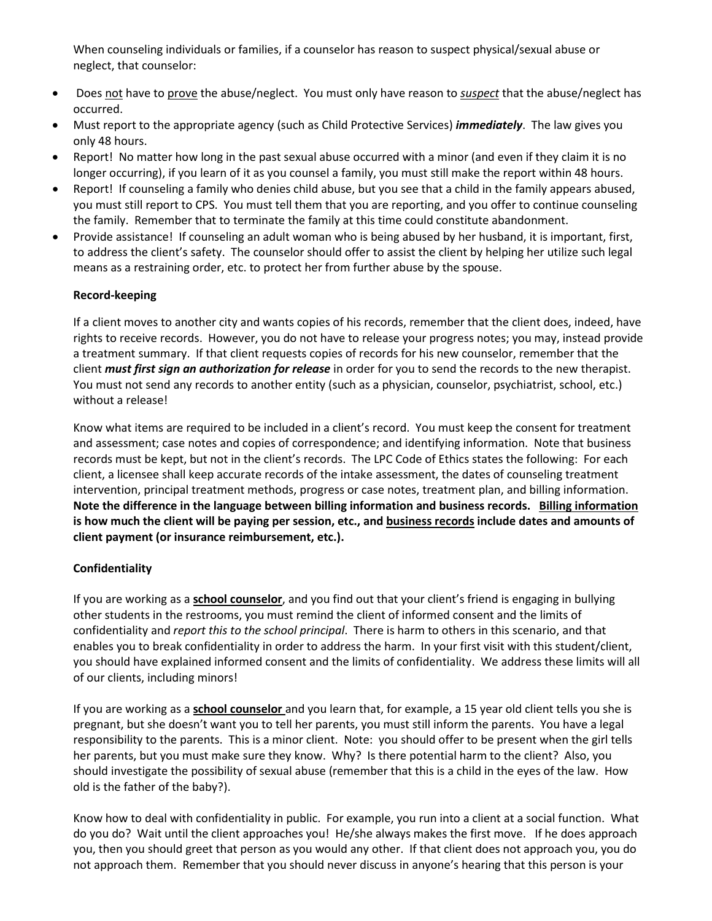When counseling individuals or families, if a counselor has reason to suspect physical/sexual abuse or neglect, that counselor:

- Does not have to prove the abuse/neglect. You must only have reason to *suspect* that the abuse/neglect has occurred.
- Must report to the appropriate agency (such as Child Protective Services) *immediately*. The law gives you only 48 hours.
- Report! No matter how long in the past sexual abuse occurred with a minor (and even if they claim it is no longer occurring), if you learn of it as you counsel a family, you must still make the report within 48 hours.
- Report! If counseling a family who denies child abuse, but you see that a child in the family appears abused, you must still report to CPS. You must tell them that you are reporting, and you offer to continue counseling the family. Remember that to terminate the family at this time could constitute abandonment.
- Provide assistance! If counseling an adult woman who is being abused by her husband, it is important, first, to address the client's safety. The counselor should offer to assist the client by helping her utilize such legal means as a restraining order, etc. to protect her from further abuse by the spouse.

# **Record-keeping**

If a client moves to another city and wants copies of his records, remember that the client does, indeed, have rights to receive records. However, you do not have to release your progress notes; you may, instead provide a treatment summary. If that client requests copies of records for his new counselor, remember that the client *must first sign an authorization for release* in order for you to send the records to the new therapist. You must not send any records to another entity (such as a physician, counselor, psychiatrist, school, etc.) without a release!

Know what items are required to be included in a client's record. You must keep the consent for treatment and assessment; case notes and copies of correspondence; and identifying information. Note that business records must be kept, but not in the client's records. The LPC Code of Ethics states the following: For each client, a licensee shall keep accurate records of the intake assessment, the dates of counseling treatment intervention, principal treatment methods, progress or case notes, treatment plan, and billing information. **Note the difference in the language between billing information and business records. Billing information is how much the client will be paying per session, etc., and business records include dates and amounts of client payment (or insurance reimbursement, etc.).**

# **Confidentiality**

If you are working as a **school counselor**, and you find out that your client's friend is engaging in bullying other students in the restrooms, you must remind the client of informed consent and the limits of confidentiality and *report this to the school principal*. There is harm to others in this scenario, and that enables you to break confidentiality in order to address the harm. In your first visit with this student/client, you should have explained informed consent and the limits of confidentiality. We address these limits will all of our clients, including minors!

If you are working as a **school counselor** and you learn that, for example, a 15 year old client tells you she is pregnant, but she doesn't want you to tell her parents, you must still inform the parents. You have a legal responsibility to the parents. This is a minor client. Note: you should offer to be present when the girl tells her parents, but you must make sure they know. Why? Is there potential harm to the client? Also, you should investigate the possibility of sexual abuse (remember that this is a child in the eyes of the law. How old is the father of the baby?).

Know how to deal with confidentiality in public. For example, you run into a client at a social function. What do you do? Wait until the client approaches you! He/she always makes the first move. If he does approach you, then you should greet that person as you would any other. If that client does not approach you, you do not approach them. Remember that you should never discuss in anyone's hearing that this person is your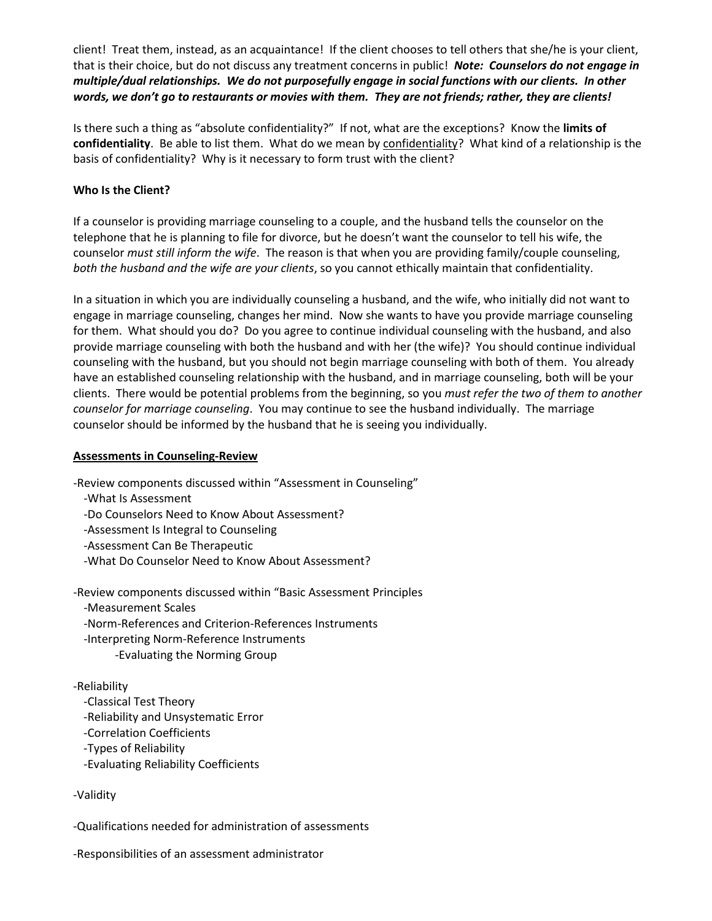client! Treat them, instead, as an acquaintance! If the client chooses to tell others that she/he is your client, that is their choice, but do not discuss any treatment concerns in public! *Note: Counselors do not engage in multiple/dual relationships. We do not purposefully engage in social functions with our clients. In other words, we don't go to restaurants or movies with them. They are not friends; rather, they are clients!* 

Is there such a thing as "absolute confidentiality?" If not, what are the exceptions? Know the **limits of confidentiality**. Be able to list them. What do we mean by confidentiality? What kind of a relationship is the basis of confidentiality? Why is it necessary to form trust with the client?

# **Who Is the Client?**

If a counselor is providing marriage counseling to a couple, and the husband tells the counselor on the telephone that he is planning to file for divorce, but he doesn't want the counselor to tell his wife, the counselor *must still inform the wife*. The reason is that when you are providing family/couple counseling, *both the husband and the wife are your clients*, so you cannot ethically maintain that confidentiality.

In a situation in which you are individually counseling a husband, and the wife, who initially did not want to engage in marriage counseling, changes her mind. Now she wants to have you provide marriage counseling for them. What should you do? Do you agree to continue individual counseling with the husband, and also provide marriage counseling with both the husband and with her (the wife)? You should continue individual counseling with the husband, but you should not begin marriage counseling with both of them. You already have an established counseling relationship with the husband, and in marriage counseling, both will be your clients. There would be potential problems from the beginning, so you *must refer the two of them to another counselor for marriage counseling*. You may continue to see the husband individually. The marriage counselor should be informed by the husband that he is seeing you individually.

# **Assessments in Counseling-Review**

-Review components discussed within "Assessment in Counseling"

- -What Is Assessment
- -Do Counselors Need to Know About Assessment?
- -Assessment Is Integral to Counseling
- -Assessment Can Be Therapeutic
- -What Do Counselor Need to Know About Assessment?

-Review components discussed within "Basic Assessment Principles

- -Measurement Scales
- -Norm-References and Criterion-References Instruments
- -Interpreting Norm-Reference Instruments
	- -Evaluating the Norming Group

# -Reliability

- -Classical Test Theory
- -Reliability and Unsystematic Error
- -Correlation Coefficients
- -Types of Reliability
- -Evaluating Reliability Coefficients

# -Validity

-Qualifications needed for administration of assessments

-Responsibilities of an assessment administrator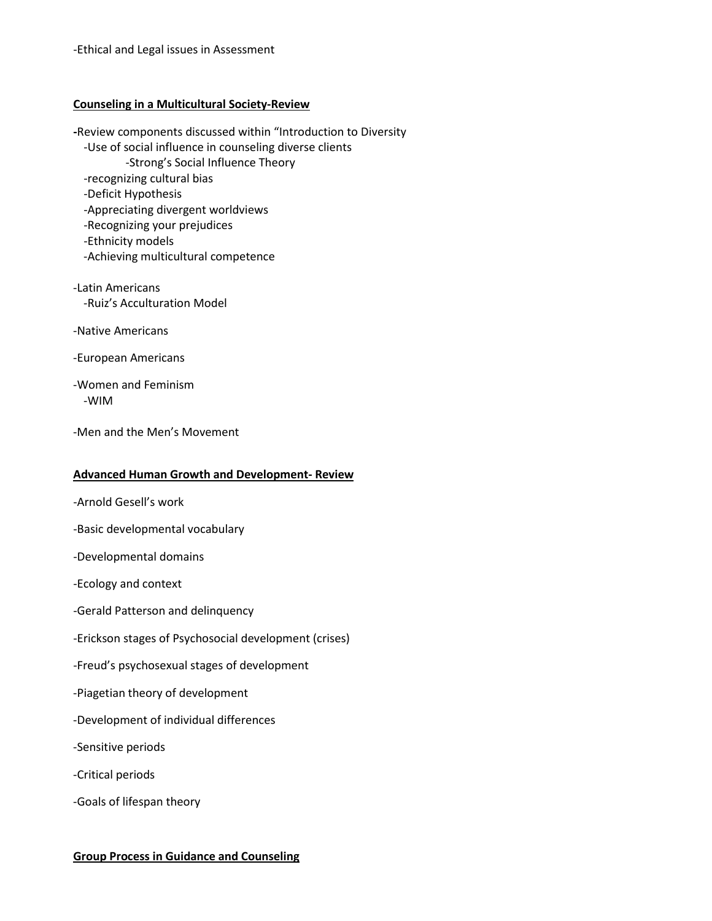### **Counseling in a Multicultural Society-Review**

**-**Review components discussed within "Introduction to Diversity -Use of social influence in counseling diverse clients -Strong's Social Influence Theory -recognizing cultural bias -Deficit Hypothesis -Appreciating divergent worldviews -Recognizing your prejudices -Ethnicity models

- -Achieving multicultural competence
- -Latin Americans -Ruiz's Acculturation Model
- -Native Americans
- -European Americans
- -Women and Feminism -WIM
- -Men and the Men's Movement

# **Advanced Human Growth and Development- Review**

- -Arnold Gesell's work
- -Basic developmental vocabulary
- -Developmental domains
- -Ecology and context
- -Gerald Patterson and delinquency
- -Erickson stages of Psychosocial development (crises)
- -Freud's psychosexual stages of development
- -Piagetian theory of development
- -Development of individual differences
- -Sensitive periods
- -Critical periods
- -Goals of lifespan theory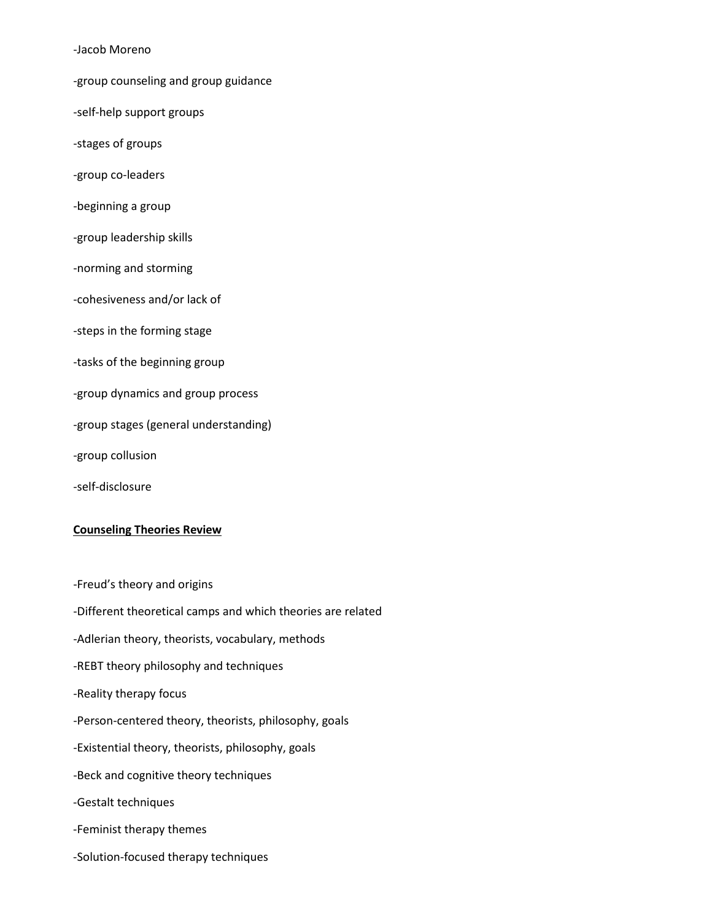-Jacob Moreno

- -group counseling and group guidance
- -self-help support groups
- -stages of groups
- -group co-leaders
- -beginning a group
- -group leadership skills
- -norming and storming
- -cohesiveness and/or lack of
- -steps in the forming stage
- -tasks of the beginning group
- -group dynamics and group process
- -group stages (general understanding)
- -group collusion
- -self-disclosure

#### **Counseling Theories Review**

-Freud's theory and origins -Different theoretical camps and which theories are related -Adlerian theory, theorists, vocabulary, methods -REBT theory philosophy and techniques -Reality therapy focus -Person-centered theory, theorists, philosophy, goals -Existential theory, theorists, philosophy, goals -Beck and cognitive theory techniques -Gestalt techniques -Feminist therapy themes -Solution-focused therapy techniques